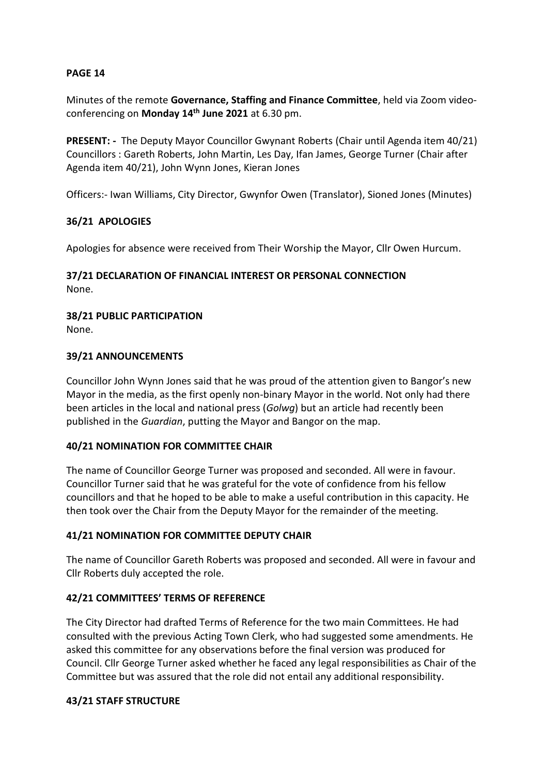# **PAGE 14**

Minutes of the remote **Governance, Staffing and Finance Committee**, held via Zoom videoconferencing on **Monday 14th June 2021** at 6.30 pm.

**PRESENT: -** The Deputy Mayor Councillor Gwynant Roberts (Chair until Agenda item 40/21) Councillors : Gareth Roberts, John Martin, Les Day, Ifan James, George Turner (Chair after Agenda item 40/21), John Wynn Jones, Kieran Jones

Officers:- Iwan Williams, City Director, Gwynfor Owen (Translator), Sioned Jones (Minutes)

# **36/21 APOLOGIES**

Apologies for absence were received from Their Worship the Mayor, Cllr Owen Hurcum.

#### **37/21 DECLARATION OF FINANCIAL INTEREST OR PERSONAL CONNECTION** None.

# **38/21 PUBLIC PARTICIPATION**

None.

# **39/21 ANNOUNCEMENTS**

Councillor John Wynn Jones said that he was proud of the attention given to Bangor's new Mayor in the media, as the first openly non-binary Mayor in the world. Not only had there been articles in the local and national press (*Golwg*) but an article had recently been published in the *Guardian*, putting the Mayor and Bangor on the map.

### **40/21 NOMINATION FOR COMMITTEE CHAIR**

The name of Councillor George Turner was proposed and seconded. All were in favour. Councillor Turner said that he was grateful for the vote of confidence from his fellow councillors and that he hoped to be able to make a useful contribution in this capacity. He then took over the Chair from the Deputy Mayor for the remainder of the meeting.

### **41/21 NOMINATION FOR COMMITTEE DEPUTY CHAIR**

The name of Councillor Gareth Roberts was proposed and seconded. All were in favour and Cllr Roberts duly accepted the role.

# **42/21 COMMITTEES' TERMS OF REFERENCE**

The City Director had drafted Terms of Reference for the two main Committees. He had consulted with the previous Acting Town Clerk, who had suggested some amendments. He asked this committee for any observations before the final version was produced for Council. Cllr George Turner asked whether he faced any legal responsibilities as Chair of the Committee but was assured that the role did not entail any additional responsibility.

### **43/21 STAFF STRUCTURE**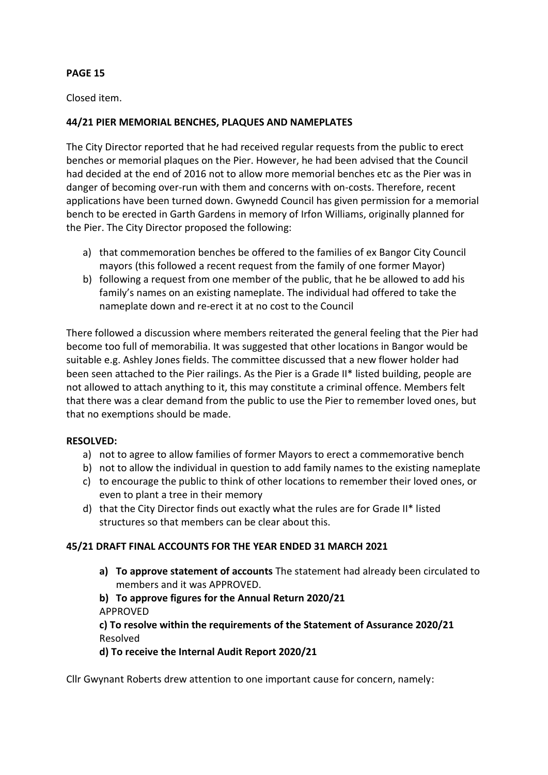# **PAGE 15**

Closed item.

# **44/21 PIER MEMORIAL BENCHES, PLAQUES AND NAMEPLATES**

The City Director reported that he had received regular requests from the public to erect benches or memorial plaques on the Pier. However, he had been advised that the Council had decided at the end of 2016 not to allow more memorial benches etc as the Pier was in danger of becoming over-run with them and concerns with on-costs. Therefore, recent applications have been turned down. Gwynedd Council has given permission for a memorial bench to be erected in Garth Gardens in memory of Irfon Williams, originally planned for the Pier. The City Director proposed the following:

- a) that commemoration benches be offered to the families of ex Bangor City Council mayors (this followed a recent request from the family of one former Mayor)
- b) following a request from one member of the public, that he be allowed to add his family's names on an existing nameplate. The individual had offered to take the nameplate down and re-erect it at no cost to the Council

There followed a discussion where members reiterated the general feeling that the Pier had become too full of memorabilia. It was suggested that other locations in Bangor would be suitable e.g. Ashley Jones fields. The committee discussed that a new flower holder had been seen attached to the Pier railings. As the Pier is a Grade II\* listed building, people are not allowed to attach anything to it, this may constitute a criminal offence. Members felt that there was a clear demand from the public to use the Pier to remember loved ones, but that no exemptions should be made.

### **RESOLVED:**

- a) not to agree to allow families of former Mayors to erect a commemorative bench
- b) not to allow the individual in question to add family names to the existing nameplate
- c) to encourage the public to think of other locations to remember their loved ones, or even to plant a tree in their memory
- d) that the City Director finds out exactly what the rules are for Grade II\* listed structures so that members can be clear about this.

# **45/21 DRAFT FINAL ACCOUNTS FOR THE YEAR ENDED 31 MARCH 2021**

**a) To approve statement of accounts** The statement had already been circulated to members and it was APPROVED.

# **b) To approve figures for the Annual Return 2020/21** APPROVED

# **c) To resolve within the requirements of the Statement of Assurance 2020/21** Resolved

### **d) To receive the Internal Audit Report 2020/21**

Cllr Gwynant Roberts drew attention to one important cause for concern, namely: